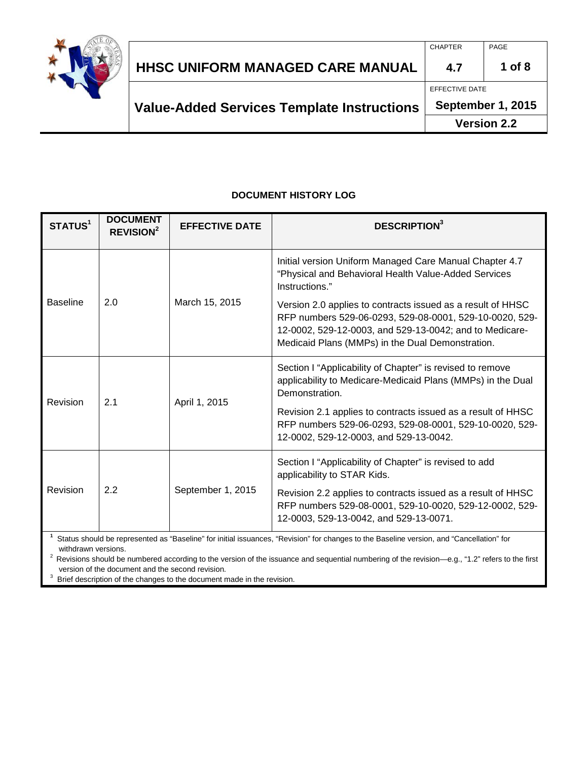

|                                                   | <b>CHAPTER</b>     | PAGE     |
|---------------------------------------------------|--------------------|----------|
| HHSC UNIFORM MANAGED CARE MANUAL                  | 4.7                | $1$ of 8 |
|                                                   | EFFECTIVE DATE     |          |
| <b>Value-Added Services Template Instructions</b> | September 1, 2015  |          |
|                                                   | <b>Version 2.2</b> |          |

#### **DOCUMENT HISTORY LOG**

| STATUS <sup>1</sup>                                                                                                                                             | <b>DOCUMENT</b><br><b>REVISION<sup>2</sup></b> | <b>EFFECTIVE DATE</b>                                                                                                                                                                                                                 | <b>DESCRIPTION</b> <sup>3</sup>                                                                                                                                   |
|-----------------------------------------------------------------------------------------------------------------------------------------------------------------|------------------------------------------------|---------------------------------------------------------------------------------------------------------------------------------------------------------------------------------------------------------------------------------------|-------------------------------------------------------------------------------------------------------------------------------------------------------------------|
| <b>Baseline</b><br>2.0                                                                                                                                          |                                                |                                                                                                                                                                                                                                       | Initial version Uniform Managed Care Manual Chapter 4.7<br>"Physical and Behavioral Health Value-Added Services<br>Instructions."                                 |
|                                                                                                                                                                 | March 15, 2015                                 | Version 2.0 applies to contracts issued as a result of HHSC<br>RFP numbers 529-06-0293, 529-08-0001, 529-10-0020, 529-<br>12-0002, 529-12-0003, and 529-13-0042; and to Medicare-<br>Medicaid Plans (MMPs) in the Dual Demonstration. |                                                                                                                                                                   |
| Revision<br>2.1                                                                                                                                                 |                                                |                                                                                                                                                                                                                                       | Section I "Applicability of Chapter" is revised to remove<br>applicability to Medicare-Medicaid Plans (MMPs) in the Dual<br>Demonstration.                        |
|                                                                                                                                                                 | April 1, 2015                                  | Revision 2.1 applies to contracts issued as a result of HHSC<br>RFP numbers 529-06-0293, 529-08-0001, 529-10-0020, 529-<br>12-0002, 529-12-0003, and 529-13-0042.                                                                     |                                                                                                                                                                   |
| Revision                                                                                                                                                        | 2.2                                            | September 1, 2015                                                                                                                                                                                                                     | Section I "Applicability of Chapter" is revised to add<br>applicability to STAR Kids.                                                                             |
|                                                                                                                                                                 |                                                |                                                                                                                                                                                                                                       | Revision 2.2 applies to contracts issued as a result of HHSC<br>RFP numbers 529-08-0001, 529-10-0020, 529-12-0002, 529-<br>12-0003, 529-13-0042, and 529-13-0071. |
| Status should be represented as "Baseline" for initial issuances, "Revision" for changes to the Baseline version, and "Cancellation" for<br>withdrawn versions. |                                                |                                                                                                                                                                                                                                       |                                                                                                                                                                   |

 $^2$  Revisions should be numbered according to the version of the issuance and sequential numbering of the revision—e.g., "1.2" refers to the first version of the document and the second revision.

 $3$  Brief description of the changes to the document made in the revision.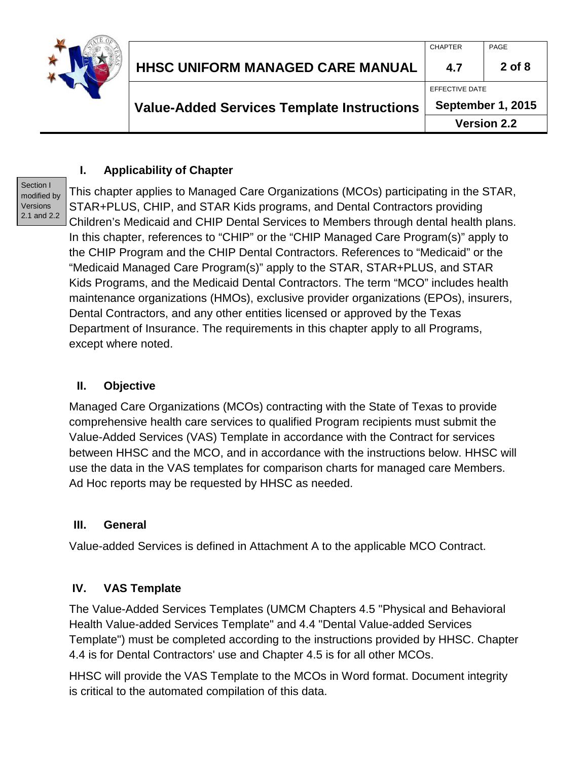

## **I. Applicability of Chapter**

Section I modified by Versions 2.1 and 2.2

This chapter applies to Managed Care Organizations (MCOs) participating in the STAR, STAR+PLUS, CHIP, and STAR Kids programs, and Dental Contractors providing Children's Medicaid and CHIP Dental Services to Members through dental health plans. In this chapter, references to "CHIP" or the "CHIP Managed Care Program(s)" apply to the CHIP Program and the CHIP Dental Contractors. References to "Medicaid" or the "Medicaid Managed Care Program(s)" apply to the STAR, STAR+PLUS, and STAR Kids Programs, and the Medicaid Dental Contractors. The term "MCO" includes health maintenance organizations (HMOs), exclusive provider organizations (EPOs), insurers, Dental Contractors, and any other entities licensed or approved by the Texas Department of Insurance. The requirements in this chapter apply to all Programs, except where noted.

## **II. Objective**

Managed Care Organizations (MCOs) contracting with the State of Texas to provide comprehensive health care services to qualified Program recipients must submit the Value-Added Services (VAS) Template in accordance with the Contract for services between HHSC and the MCO, and in accordance with the instructions below. HHSC will use the data in the VAS templates for comparison charts for managed care Members. Ad Hoc reports may be requested by HHSC as needed.

### **III. General**

Value-added Services is defined in Attachment A to the applicable MCO Contract.

### **IV. VAS Template**

The Value-Added Services Templates (UMCM Chapters 4.5 "Physical and Behavioral Health Value-added Services Template" and 4.4 "Dental Value-added Services Template") must be completed according to the instructions provided by HHSC. Chapter 4.4 is for Dental Contractors' use and Chapter 4.5 is for all other MCOs.

HHSC will provide the VAS Template to the MCOs in Word format. Document integrity is critical to the automated compilation of this data.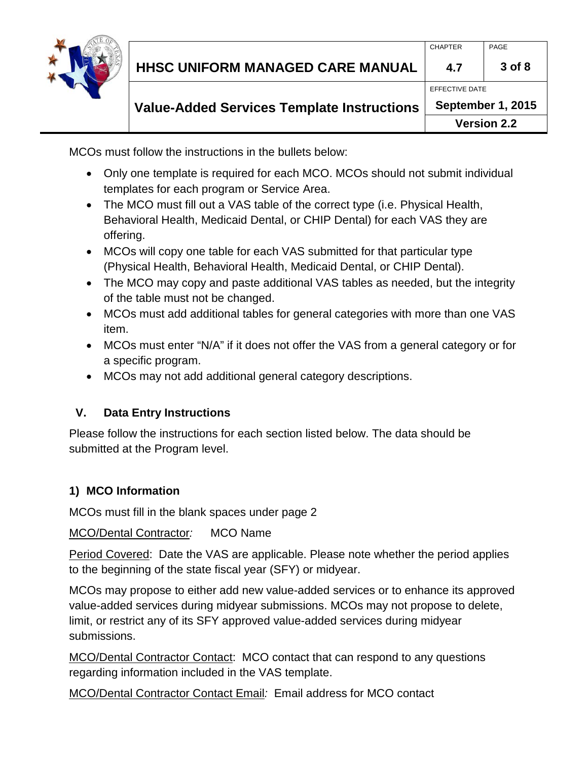

MCOs must follow the instructions in the bullets below:

- Only one template is required for each MCO. MCOs should not submit individual templates for each program or Service Area.
- The MCO must fill out a VAS table of the correct type (i.e. Physical Health, Behavioral Health, Medicaid Dental, or CHIP Dental) for each VAS they are offering.
- MCOs will copy one table for each VAS submitted for that particular type (Physical Health, Behavioral Health, Medicaid Dental, or CHIP Dental).
- The MCO may copy and paste additional VAS tables as needed, but the integrity of the table must not be changed.
- MCOs must add additional tables for general categories with more than one VAS item.
- MCOs must enter "N/A" if it does not offer the VAS from a general category or for a specific program.
- MCOs may not add additional general category descriptions.

# **V. Data Entry Instructions**

Please follow the instructions for each section listed below. The data should be submitted at the Program level.

# **1) MCO Information**

MCOs must fill in the blank spaces under page 2

MCO/Dental Contractor*:* MCO Name

Period Covered: Date the VAS are applicable. Please note whether the period applies to the beginning of the state fiscal year (SFY) or midyear.

MCOs may propose to either add new value-added services or to enhance its approved value-added services during midyear submissions. MCOs may not propose to delete, limit, or restrict any of its SFY approved value-added services during midyear submissions.

MCO/Dental Contractor Contact: MCO contact that can respond to any questions regarding information included in the VAS template.

MCO/Dental Contractor Contact Email*:* Email address for MCO contact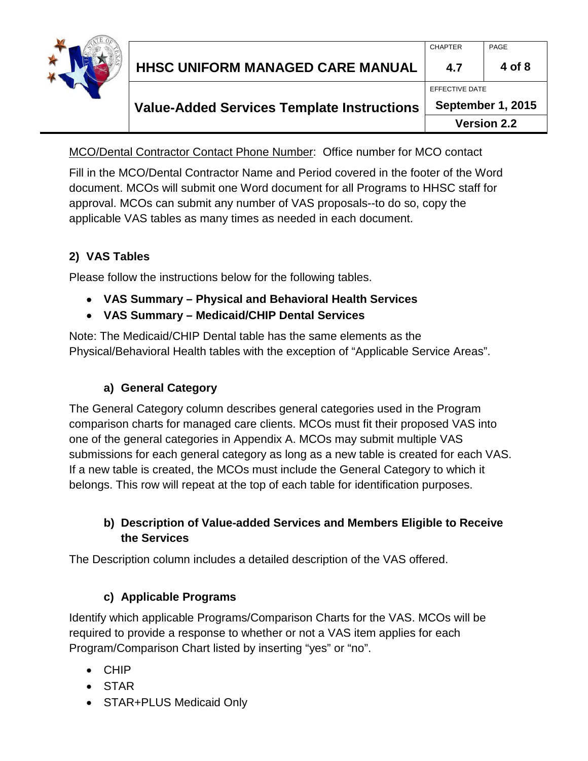

#### **Value-Added Services Template Instructions September 1, 2015**

**Version 2.2**

MCO/Dental Contractor Contact Phone Number: Office number for MCO contact

Fill in the MCO/Dental Contractor Name and Period covered in the footer of the Word document. MCOs will submit one Word document for all Programs to HHSC staff for approval. MCOs can submit any number of VAS proposals--to do so, copy the applicable VAS tables as many times as needed in each document.

## **2) VAS Tables**

Please follow the instructions below for the following tables.

- **VAS Summary – Physical and Behavioral Health Services**
- **VAS Summary – Medicaid/CHIP Dental Services**

Note: The Medicaid/CHIP Dental table has the same elements as the Physical/Behavioral Health tables with the exception of "Applicable Service Areas".

## **a) General Category**

The General Category column describes general categories used in the Program comparison charts for managed care clients. MCOs must fit their proposed VAS into one of the general categories in Appendix A. MCOs may submit multiple VAS submissions for each general category as long as a new table is created for each VAS. If a new table is created, the MCOs must include the General Category to which it belongs. This row will repeat at the top of each table for identification purposes.

## **b) Description of Value-added Services and Members Eligible to Receive the Services**

The Description column includes a detailed description of the VAS offered.

## **c) Applicable Programs**

Identify which applicable Programs/Comparison Charts for the VAS. MCOs will be required to provide a response to whether or not a VAS item applies for each Program/Comparison Chart listed by inserting "yes" or "no".

- CHIP
- STAR
- STAR+PLUS Medicaid Only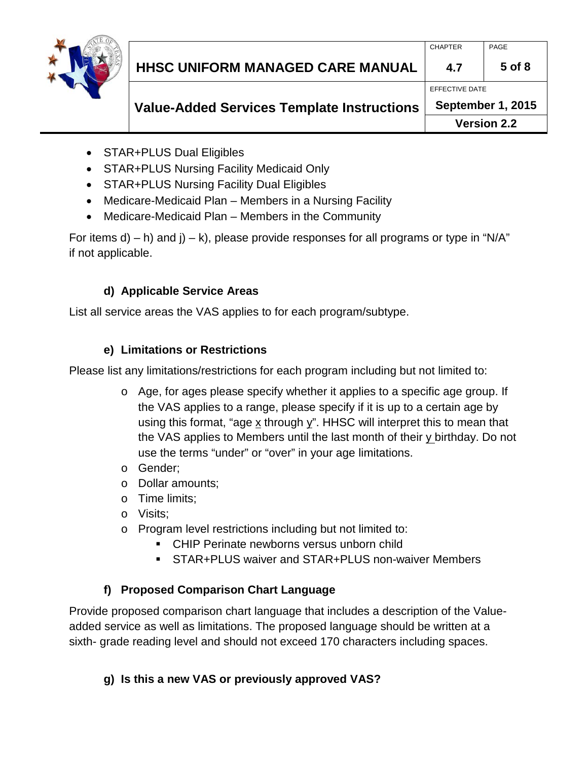

#### **Value-Added Services Template Instructions September 1, 2015**

**Version 2.2**

- STAR+PLUS Dual Eligibles
- STAR+PLUS Nursing Facility Medicaid Only
- STAR+PLUS Nursing Facility Dual Eligibles
- Medicare-Medicaid Plan Members in a Nursing Facility
- Medicare-Medicaid Plan Members in the Community

For items d) – h) and  $j$  – k), please provide responses for all programs or type in "N/A" if not applicable.

## **d) Applicable Service Areas**

List all service areas the VAS applies to for each program/subtype.

## **e) Limitations or Restrictions**

Please list any limitations/restrictions for each program including but not limited to:

- o Age, for ages please specify whether it applies to a specific age group. If the VAS applies to a range, please specify if it is up to a certain age by using this format, "age x through y". HHSC will interpret this to mean that the VAS applies to Members until the last month of their y birthday. Do not use the terms "under" or "over" in your age limitations.
- o Gender;
- o Dollar amounts;
- o Time limits;
- o Visits;
- o Program level restrictions including but not limited to:
	- **CHIP Perinate newborns versus unborn child**
	- STAR+PLUS waiver and STAR+PLUS non-waiver Members

## **f) Proposed Comparison Chart Language**

Provide proposed comparison chart language that includes a description of the Valueadded service as well as limitations. The proposed language should be written at a sixth- grade reading level and should not exceed 170 characters including spaces.

## **g) Is this a new VAS or previously approved VAS?**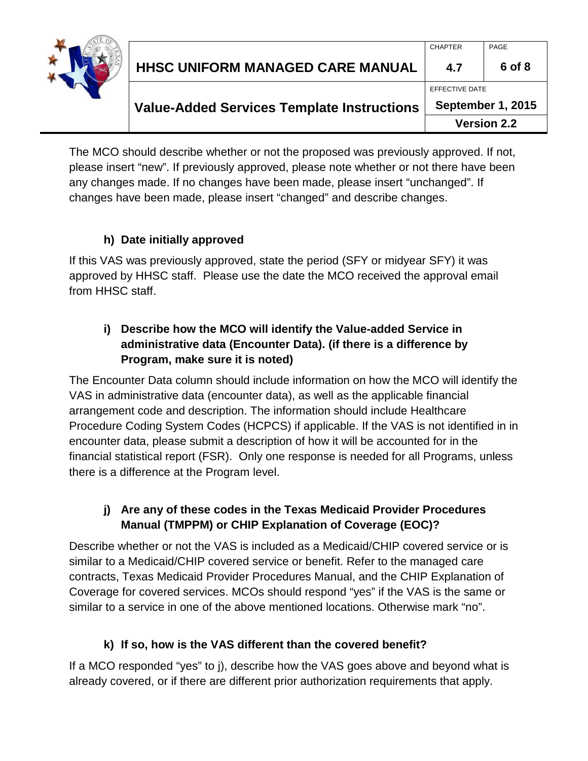

The MCO should describe whether or not the proposed was previously approved. If not, please insert "new". If previously approved, please note whether or not there have been any changes made. If no changes have been made, please insert "unchanged". If changes have been made, please insert "changed" and describe changes.

## **h) Date initially approved**

If this VAS was previously approved, state the period (SFY or midyear SFY) it was approved by HHSC staff. Please use the date the MCO received the approval email from HHSC staff.

## **i) Describe how the MCO will identify the Value-added Service in administrative data (Encounter Data). (if there is a difference by Program, make sure it is noted)**

The Encounter Data column should include information on how the MCO will identify the VAS in administrative data (encounter data), as well as the applicable financial arrangement code and description. The information should include Healthcare Procedure Coding System Codes (HCPCS) if applicable. If the VAS is not identified in in encounter data, please submit a description of how it will be accounted for in the financial statistical report (FSR). Only one response is needed for all Programs, unless there is a difference at the Program level.

## **j) Are any of these codes in the Texas Medicaid Provider Procedures Manual (TMPPM) or CHIP Explanation of Coverage (EOC)?**

Describe whether or not the VAS is included as a Medicaid/CHIP covered service or is similar to a Medicaid/CHIP covered service or benefit. Refer to the managed care contracts, Texas Medicaid Provider Procedures Manual, and the CHIP Explanation of Coverage for covered services. MCOs should respond "yes" if the VAS is the same or similar to a service in one of the above mentioned locations. Otherwise mark "no".

### **k) If so, how is the VAS different than the covered benefit?**

If a MCO responded "yes" to j), describe how the VAS goes above and beyond what is already covered, or if there are different prior authorization requirements that apply.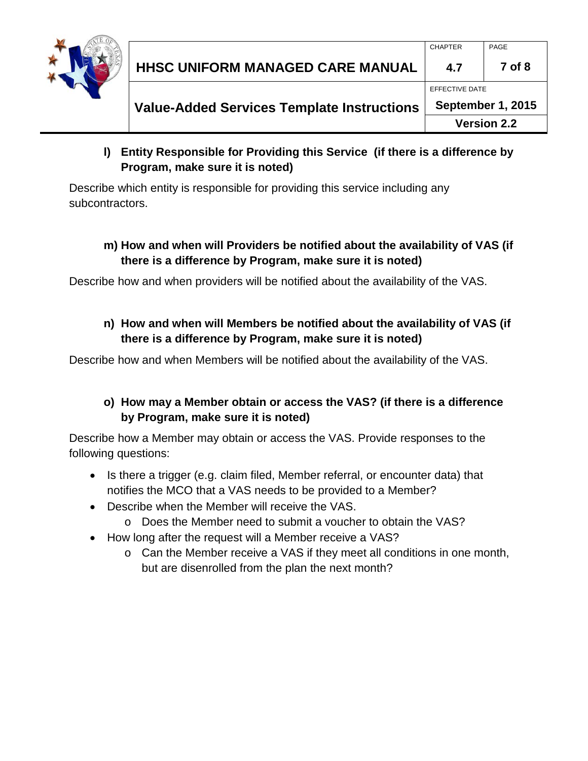

### **l) Entity Responsible for Providing this Service (if there is a difference by Program, make sure it is noted)**

Describe which entity is responsible for providing this service including any subcontractors.

### **m) How and when will Providers be notified about the availability of VAS (if there is a difference by Program, make sure it is noted)**

Describe how and when providers will be notified about the availability of the VAS.

## **n) How and when will Members be notified about the availability of VAS (if there is a difference by Program, make sure it is noted)**

Describe how and when Members will be notified about the availability of the VAS.

## **o) How may a Member obtain or access the VAS? (if there is a difference by Program, make sure it is noted)**

Describe how a Member may obtain or access the VAS. Provide responses to the following questions:

- Is there a trigger (e.g. claim filed, Member referral, or encounter data) that notifies the MCO that a VAS needs to be provided to a Member?
- Describe when the Member will receive the VAS.
	- o Does the Member need to submit a voucher to obtain the VAS?
- How long after the request will a Member receive a VAS?
	- o Can the Member receive a VAS if they meet all conditions in one month, but are disenrolled from the plan the next month?